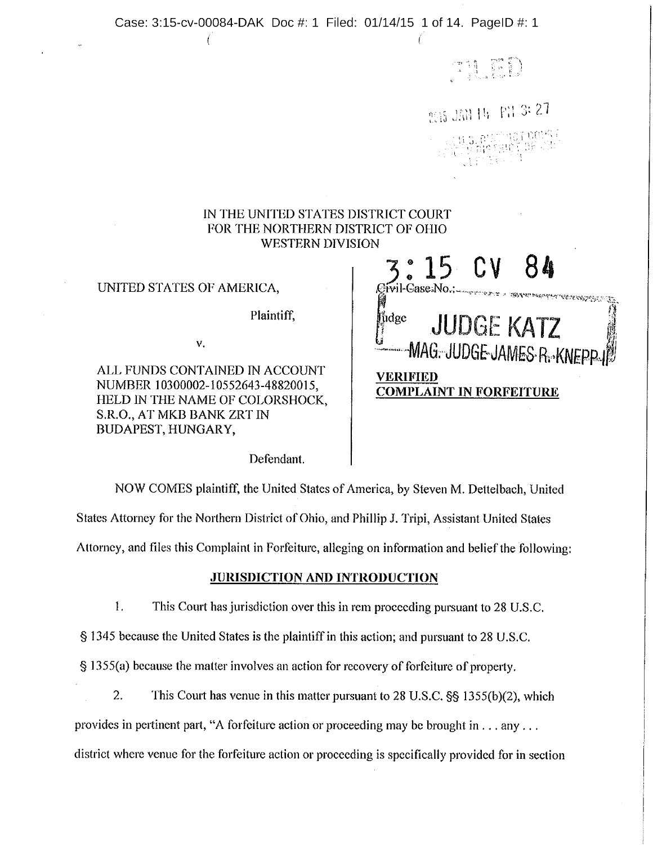Case: 3:15-cv-00084-DAK Doc #: 1 Filed: 01/14/15 1 of 14. PagelD #: 1

71 GD

1733 1 | 12. 12. 27

3: <sup>15</sup> CV 84

fidge JUDGE KATZ

**STARK STARK STAR** 

IN THE UNITED STATES DISTRICT COURT FOR THE NORTHERN DISTRICT OF OHIO WESTERN DIVISION

UNITED STATES OF AMERICA,

Plaintiff,

V. SAN FOR A CHARGE MAGE JUDGE JAMES RAKNEPP

ALL FUNDS CONTAINED IN ACCOUNT VERIFIED NUMBER 10300002-10552643-48820015, COMPLAINT IN FORFEITURE HELD IN THE NAME OF COLORSHOCK, S.R.O., AT MKB BANK ZRT IN BUDAPEST, HUNGARY,

Defendant.

NOW COMES plaintiff, the United States of America, by Steven M. Dettelbach, United States Attorney for the Northern District of Ohio, and Phillip J. Tripi, Assistant United States

Attorney, and files this Complaint in Forfeiture, alleging on information and belief the following:

# JURISDICTION AND INTRODUCTION

 $1.$ This Court has jurisdiction over this in rem proceeding pursuant to 28 U.S.C.

1345 because the United States is the plaintiff in this action; and pursuant to 28 U.S.C.

 $\S$  1355(a) because the matter involves an action for recovery of forfeiture of property,

2. This Court has venue in this matter pursuant to  $28 \text{ U.S.C.}$   $\S$   $\S$   $1355(b)(2)$ , which

provides in pertinent part, "A forfeiture action or proceeding may be brought in... any...

district where venue for the forfeiture action or proceeding is specifically provided for in section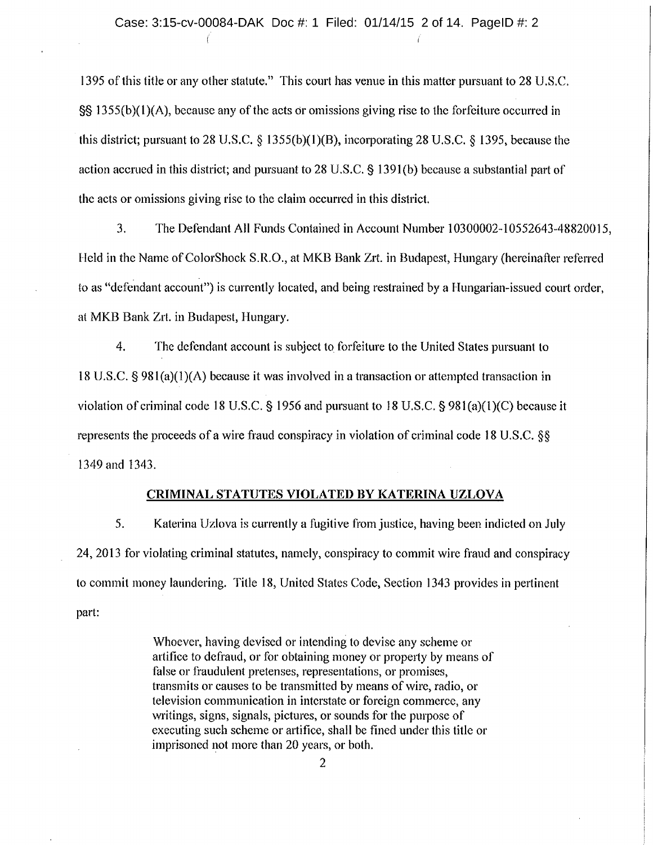<sup>1395</sup> of this title or any other statute." This court has venue in this matter pursuant to <sup>28</sup> U.S.C.  $\S$ § 1355(b)(1)(A), because any of the acts or omissions giving rise to the forfeiture occurred in this district; pursuant to 28 U.S.C.  $\S$  1355(b)(1)(B), incorporating 28 U.S.C.  $\S$  1395, because the action accrued in this district; and pursuant to 28 U.S.C.  $\S$  1391(b) because a substantial part of the acts or omissions giving rise to the claim occurred in this district.

3. The Defendant All Funds Contained in Account Number 10300002-10552643-48820015, Held in the Name of ColorShock S.R.O., at MKB Bank Zrt. in Budapest, Hungary (hereinafter referred to as "defendant account") is currently located, and being restrained by <sup>a</sup> Hungarian-issued court order, at MKB Bank Zrt. in Budapest, Hungary.

4. The defendant account is subject to forfeiture to the United States pursuant to <sup>18</sup> U.S.C. §981(a)(1)(A) because it was involved in <sup>a</sup> transaction or attempted transaction in violation of criminal code 18 U.S.C. § 1956 and pursuant to 18 U.S.C. §  $981(a)(1)(C)$  because it represents the proceeds of a wire fraud conspiracy in violation of criminal code 18 U.S.C. §§ 1349 and 1343.

## CRIMINAL STATUTES VIOLATED BY KATERINA UZLOVA

5. Katerina Uzlova is currently <sup>a</sup> fugitive from justice, having been indicted on July 24, 2013 for violating criminal statutes, namely, conspiracy to commit wire fraud and conspiracy to commit money laundering. Title 18, United States Code, Section <sup>1343</sup> provides in pertinent part:

> Whoever, having devised or intending to devise any scheme or artifice to defraud, or for obtaining money or property by means of false or fraudulent pretenses, representations, or promises, transmits or causes to be transmitted by means of wire, radio, or television communication in interstate or foreign commerce, any writings, signs, signals, pictures, or sounds for the purpose of executing such scheme or artifice, shall be fined under this title or imprisoned not more than 20 years, or both.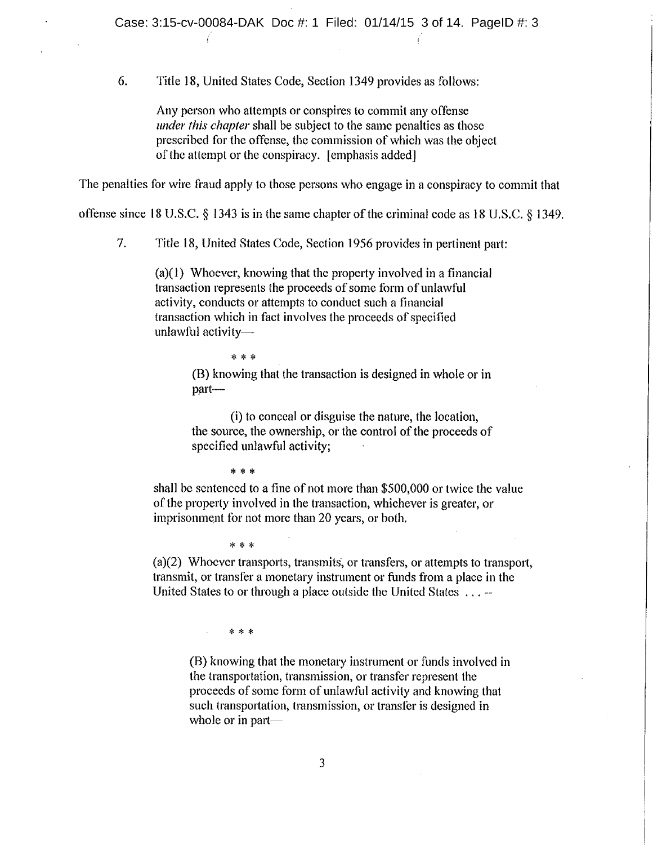6. Title 18, United States Code, Section 1349 provides as follows:

Any person who attempts or conspires to commit any offense under this chapter shall be subject to the same penalties as those prescribed for the offense, the commission of which was the object of the attempt or the conspiracy. [emphasis added]

The penalties for wire fraud apply to those persons who engage in <sup>a</sup> conspiracy to commit that

offense since 18 U.S.C.  $\S$  1343 is in the same chapter of the criminal code as 18 U.S.C.  $\S$  1349.

7. Title 18, United States Code, Section 1956 provides in pertinent part:

(a)(1) Whoever, knowing that the property involved in <sup>a</sup> financial transaction represents the proceeds of some form of unlawful activity, conducts or attempts to conduct such <sup>a</sup> financial transaction which in fact involves the proceeds of specified unlawful activity $-$ 

\* \* \*

(B) knowing that the transaction is designed in whole or in part—

(i) to conceal or disguise the nature, the location, the source, the ownership, or the control of the proceeds of specified unlawful activity;

\* \* \*

 $* * *$ 

shall be sentenced to <sup>a</sup> fine of not more than \$500,000 or twice the value of the property involved in the transaction, whichever is greater, or imprisonment for not more than 20 years, or both.

 $(a)(2)$  Whoever transports, transmits, or transfers, or attempts to transport, transmit, or transfer <sup>a</sup> monetary instrument or funds from <sup>a</sup> place in the United States to or through <sup>a</sup> place outside the United States.

 $* * *$ 

(B) knowing that the monetary instrument or funds involved in the transportation, transmission, or transfer represent the proceeds of some form of unlawful activity and knowing that such transportation, transmission, or transfer is designed in whole or in part—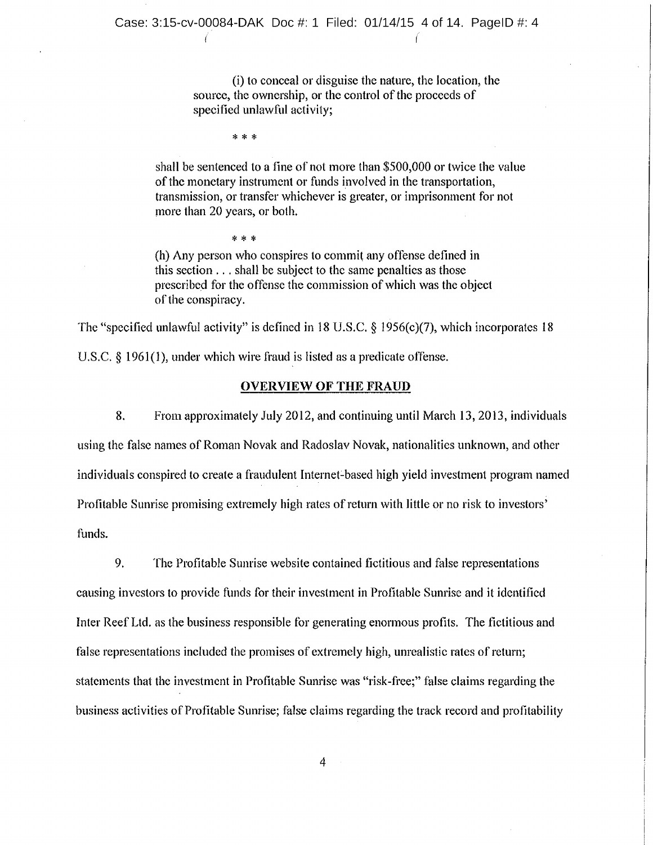(i) to conceal or disguise the nature, the location, the source, the ownership, or the control of the proceeds of specified unlawful activity;

\* \* \*

\* \* \*

shall be sentenced to <sup>a</sup> fine of not more than \$500,000 or twice the value of the monetary instrument or funds involved in the transportation, transmission, or transfer whichever is greater, or imprisonment for not more than 20 years, or both.

(h) Any person who conspires to commit any offense defined in this section.. shall be subject to the same penalties as those prescribed for the offense the commission of which was the object of the conspiracy.

The "specified unlawful activity" is defined in 18 U.S.C.  $\S$  1956(c)(7), which incorporates 18

U.S.C.  $\S$  1961(1), under which wire fraud is listed as a predicate offense.

#### OVERVIEW OF THE FRAUD

8. From approximately July 2012, and continuing until March 13, 2013, individuals using the false names of Roman Novak and Radoslav Novak, nationalities unknown, and other individuals conspired to create <sup>a</sup> fraudulent Internet:based high yield investment program named Profitable Sunrise promising extremely high rates of return with little or no risk to investors' funds.

9. The Profitable Sunrise website contained fictitious and false representations causing investors to provide funds for their investment in Profitable Sunrise and it identified Inter Reef Ltd. as the business responsible for generating enormous profits. The fictitious and false representations included the promises of extremely high, unrealistic rates of return; statements that the investment in Profitable Sunrise was "risk-free;" false claims regarding the business activities of Profitable Sunrise; false claims regarding the track record and profitability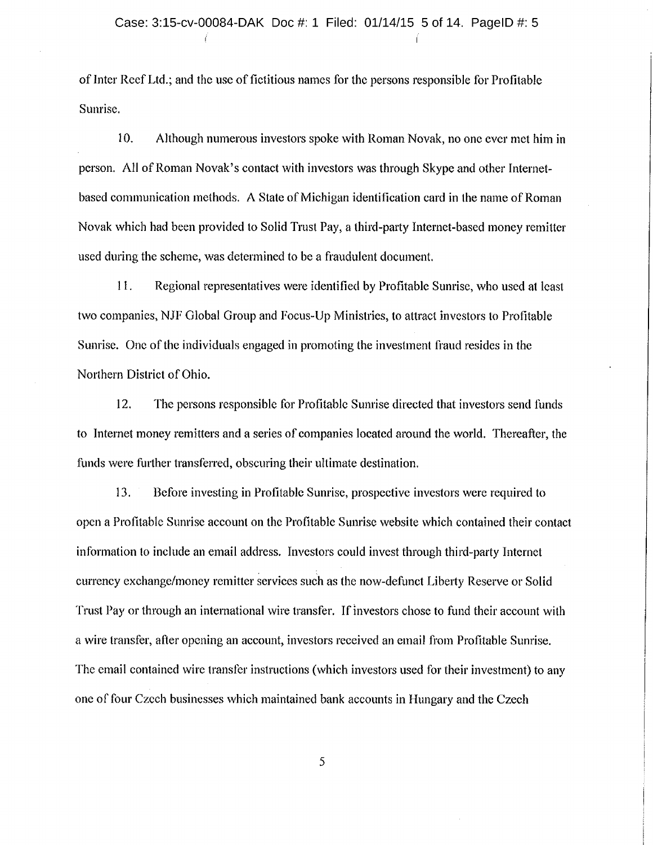of Inter Reef Ltd.; and the use of fictitious names for the persons responsible for Profitable Sunrise.

10. Although numerous investors spoke with Roman Novak, no one ever met him in person. All of Roman Novak's contact with investors was through Skype and other Internetbased communication methods. A State of Michigan identification card in the name of Roman Novak which had been provided to Solid Trust Pay, <sup>a</sup> third-party Internet-based money remitter used during the scheme, was determined to be <sup>a</sup> fraudulent document,

11. Regional representatives were identified by Profitable Sunrise, who used at least two companies, NJF Global Group and Focus-Up Ministries, to attract investors to Profitable Sunrise. One of the individuals engaged in promoting the investment fraud resides in the Northern District of Ohio.

12. The persons responsible for Profitable Sunrise directed that investors send funds to Internet money remitters and <sup>a</sup> series of companies located around the world. Thereafter, the funds were further transferred, obscuring their ultimate destination,

13, Before investing in Profitable Sunrise, prospective investors were required to open <sup>a</sup> Profitable Sunrise account on the Profitable Sunrise website which contained their contact information to include an email address. Investors could invest through third-party Internet currency exchange/money remitter services such as the now-defunct Liberty Reserve or Solid Trust Pay or through an international wire transfer. If investors chose to fund their account with <sup>a</sup> wire transfer, after opening an account, investors received an email from Profitable Sunrise. The email contained wire transfer instructions (which investors used for their investment) to any one of four Czech businesses which maintained bank accounts in Hungary and the Czech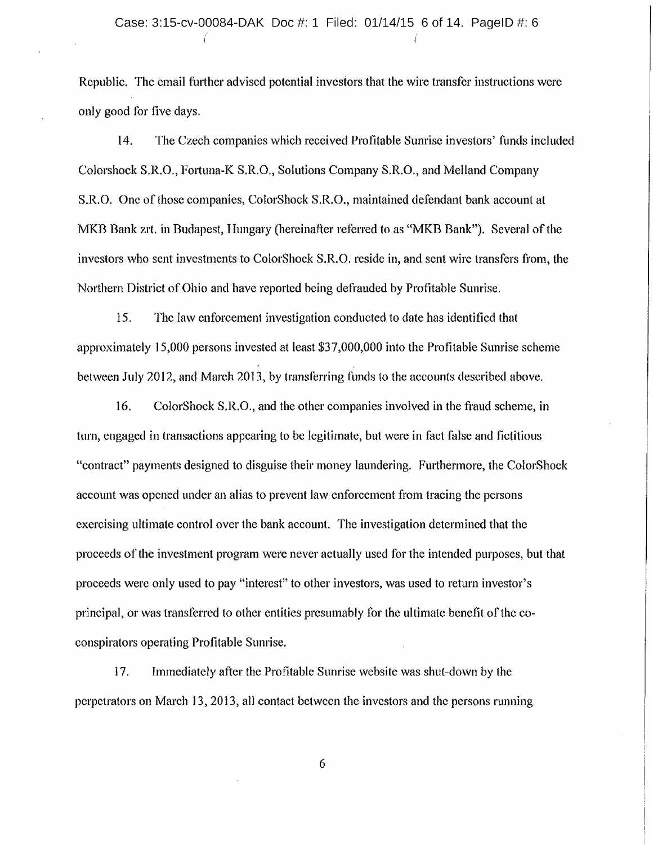# Case: 3:15-cv-00084-DAK Doc #: 1 Filed: 01/14/15 6 of 14. PagelD #: 6

Republic. The email further advised potential investors that the wire transfer instructions were only good for five days.

14. The Czech companies which received Profitable Sunrise investors' funds included Colorshock S.R.O., Fortuna-K S.R.O., Solutions Company S.R.O., and Me!land Company S.R.O. One of those companies, ColorShock S.R.O., maintained defendant bank account at MKB Bank zrt. in Budapest, Hungary (hereinafter referred to as "MKB Bank"). Several of the investors who sent investments to ColorShock S.R.O. reside in, and sent wire transfers from, the Northern District of Ohio and have reported being defrauded by Profitable Sunrise.

15. The law enforcement investigation conducted to date has identified that approximately 15,000 persons invested at least \$37,000, 000 into the Profitable Sunrise scheme between July 2012, and March 2013, by transferring funds to the accounts described above.

16. ColorShock S.R.O., and the other companies involved in the fraud scheme, in turn, engaged in transactions appearing to be legitimate, but were in fact false and fictitious "contract" payments designed to disguise their money laundering. Furthermore, the ColorShock account was opened under an alias to prevent law enforcement from tracing the persons exercising ultimate control over the bank account. The investigation determined that the proceeds ofthe investment program were never actually used for the intended purposes, but that proceeds were only used to pay "interest" to other investors, was used to return investor's principal, or was transferred to other entities presumably for the ultimate benefit of the coconspirators operating Profitable Sunrise,

17. Immediately after the Profitable Sunrise website was shut-down by the perpetrators on March 13, 2013, all contact between the investors and the persons running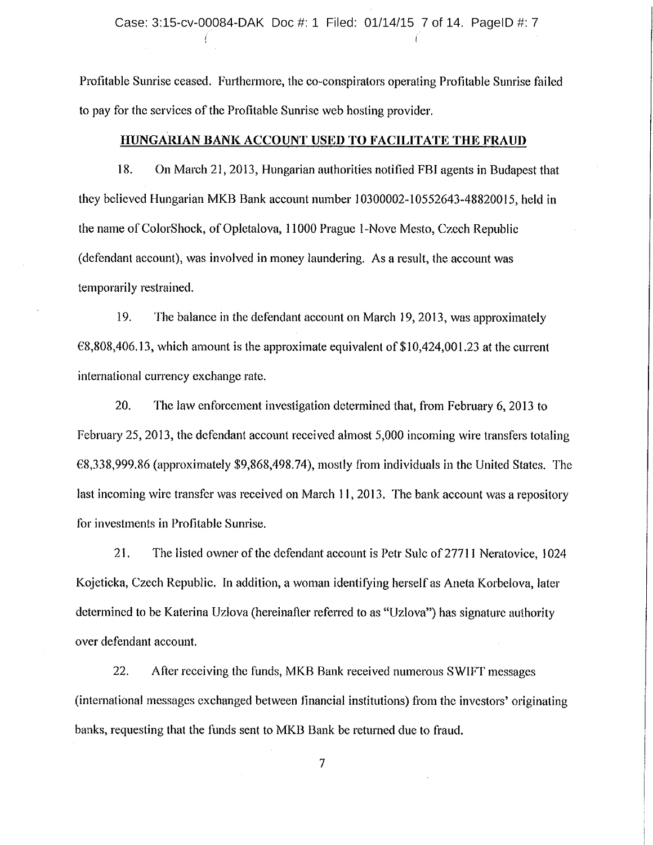Profitable Sunrise ceased. Furthermore, the co-conspirators operating Profitable Sunrise failed to pay for the services of the Profitable Sunrise web hosting provider.

#### HUNGARIAN BANK ACCOUNT USED TO FACILITATE THE FRAUD

18. On March 21, 2013, Hungarian authorities notified FBI agents in Budapest that they believed Hungarian MKB Bank account number 10300002-10552643-48820015, held in the name of ColorShock, of Opletalova, 11000 Prague 1-Nove Mesto, Czech Republic (defendant account), was involved in money laundering. As <sup>a</sup> result, the account was temporarily restrained.

19. The balance in the defendant account on March 19, 2013, was approximately €8,808,406.13, which amount is the approximate equivalent of \$10,424,001.23 at the current international currency exchange rate.

20. The law enforcement investigation determined that, from February 6, 2013 to February 25, 2013, the defendant account received almost 5,000 incoming wire transfers totaling €8,338,999, 86 (approximately \$9,868,498.74), mostly from individuals in the United States. The last incoming wire transfer was received on March 11, 2013. The bank account was <sup>a</sup> repository for investments in Profitable Sunrise.

21. The listed owner of the defendant account is Petr Sulc of <sup>27711</sup> Neratovice, <sup>1024</sup> Kojeticka, Czech Republic. In addition, <sup>a</sup> woman identifying herself as Aneta Korbelova, later determined to be Katerina Uziova (hereinafter referred to as "Uzlova") has signature authority over defendant account.

22. After receiving the funds, MKB Bank received numerous SWIFT messages (international messages exchanged between financial institutions) from the investors' originating banks, requesting that the funds sent to MKB Bank be returned due to fraud.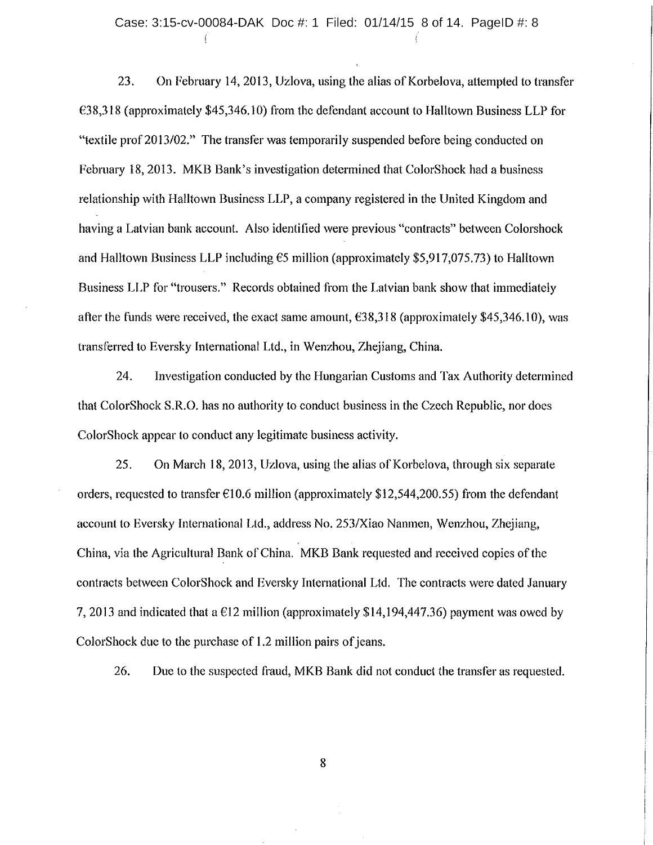#### Case: 3:15-cv-00084-DAK Doc #: 1 Filed: 01/14/15 8 of 14. PagelD #: 8

23. On February 14, 2013, Uzlova, using the alias of Korbelova, attempted to transfer €38,318 (approximately \$45,346.10) from the defendant account to Halltown Business LLP for "textile prof 2013/02." The transfer was temporarily suspended before being conducted on February 18, 2013. MKB Bank's investigation determined that ColorShock had <sup>a</sup> business relationship with Halltown Business LLP, <sup>a</sup> company registered in the United Kingdom and having <sup>a</sup> Latvian bank account. Also identified were previous "contracts" between Colorshock and Halltown Business LLP including €5 million (approximately \$5,917,075.73) to Halltown Business LLP for "trousers." Records obtained from the Latvian bank show that immediately after the funds were received, the exact same amount,  $\epsilon$ 38,318 (approximately \$45,346.10), was transferred to Eversky International Ltd., in Wenzhou, Zhejiang, China.

24. Investigation conducted by the Hungarian Customs and Tax Authority determined that ColorShock S.R.O. has no authority to conduct business in the Czech Republic, nor does ColorShock appear to conduct any legitimate business activity.

25. On March 18, 2013, Uzlova, using the alias of Korbelova, through six separate orders, requested to transfer  $\epsilon$ 10.6 million (approximately \$12,544,200.55) from the defendant account to Eversky International Ltd., address No. 253/Xiao Nanmen, Wenzhou, Zhejiang, China, via the Agricultural Bank of China. MKB Bank requested and received copies of the contracts between ColorShock and Eversky International Ltd. The contracts were dated January 7, 2013 and indicated that a  $E12$  million (approximately \$14,194,447.36) payment was owed by ColorShock due to the purchase of 1.2 million pairs of jeans.

26. Due to the suspected fraud, MKB Bank did not conduct the transfer as requested,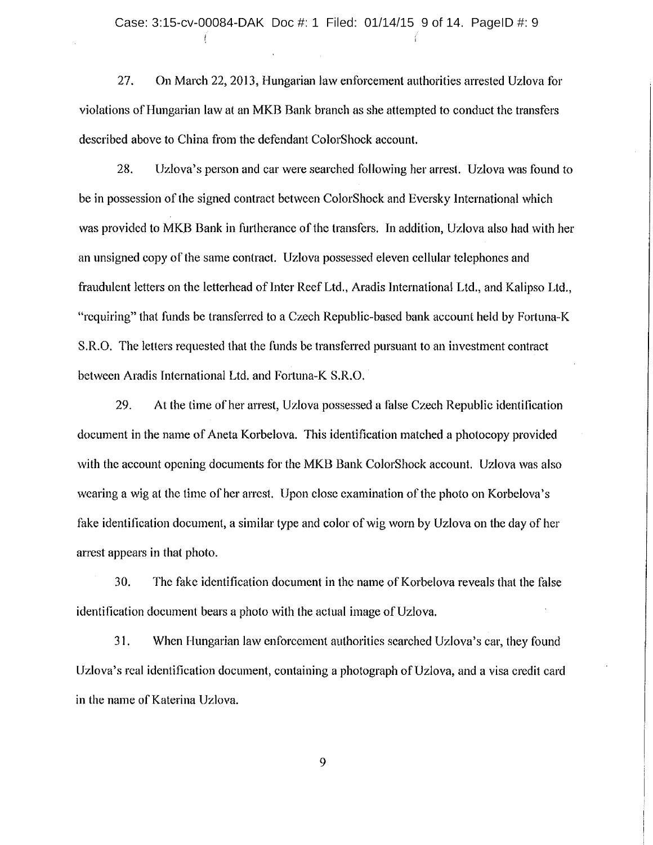27. On March 22, 2013, Hungarian law enforcement authorities arrested Uzlova for violations of Hungarian law at an MKB Bank branch as she attempted to conduct the transfers described above to China from the defendant ColorShock account,

28. Uzlova's person and car were searched following her arrest. Uzlova was found to be in possession of the signed contract between ColorShock and Eversky International which was provided to MKB Bank in furtherance of the transfers. In addition, Uzlova also had with her an unsigned copy ofthe same contract. Uzlova possessed eleven cellular telephones and fraudulent letters on the letterhead of Inter Reef Ltd., Aradis International Ltd., and Kalipso Ltd., "requiring" that funds be transferred to <sup>a</sup> Czech Republic-based bank account held by Fortuna-K S.R.O. The letters requested that the funds be transferred pursuant to an investment contract between Aradis International Ltd. and Fortuna-K S,R.O.

29. At the time of her arrest, Uzlova possessed <sup>a</sup> false Czech Republic identification document in the name of Aneta Korbelova. This identification matched <sup>a</sup> photocopy provided with the account opening documents for the MKB Bank ColorShock account. Uzlova was also wearing a wig at the time of her arrest. Upon close examination of the photo on Korbelova's fake identification document, a similar type and color of wig worn by Uzlova on the day of her arrest appears in that photo.

30. The fake identification document in the name of Korbelova reveals that the false identification document bears a photo with the actual image of Uzlova.

31. When Hungarian law enforcement authorities searched Uzlova's car, they found Uzlova's real identification document, containing a photograph of Uzlova, and a visa credit card in the name of Katerina Uzlova.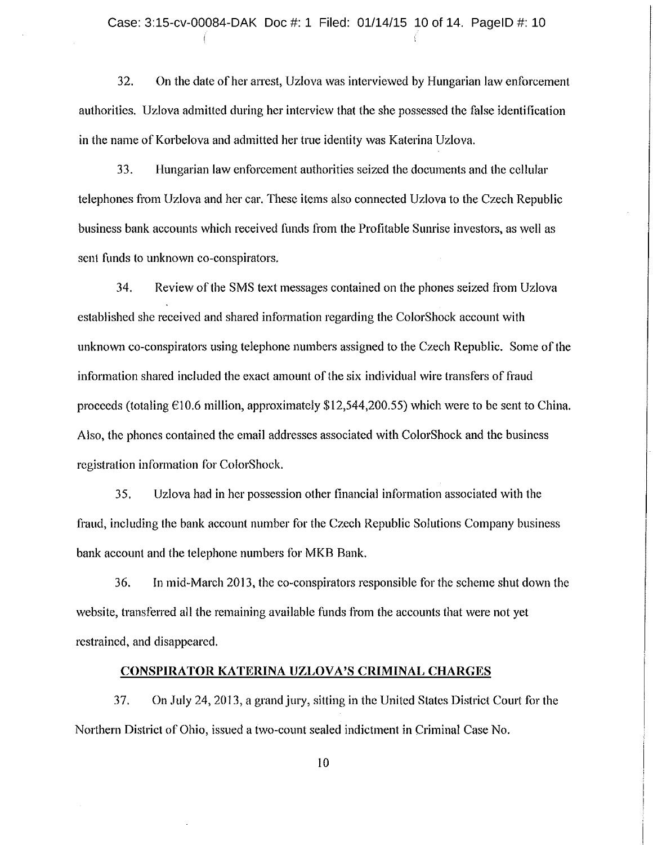32. On the date of her arrest, Uzlova was interviewed by Hungarian law enforcement authorities. Uzlova admitted during her interview that the she possessed the false identification in the name of Korbelova and admitted her true identity was Katerina Uzlova.

33. Hungarian law enforcement authorities seized the documents and the cellular telephones from Uzlova and her car. These items also connected Uzlova to the Czech Republic business bank accounts which received funds from the Profitable Sunrise investors, as well as sent funds to unknown co-conspirators,

34. Review ofthe SMS text messages contained on the phones seized from Uzlova established she received and shared information regarding the ColorShock account with unknown co-conspirators using telephone numbers assigned to the Czech Republic. Some of the information shared included the exact amount of the six individual wire transfers of fraud proceeds (totaling  $\epsilon$ 10.6 million, approximately \$12,544,200.55) which were to be sent to China. Also, the phones contained the email addresses associated with ColorShock and the business registration information for ColorShoek.

35. Uzlova had in her possession other financial information associated with the fraud, including the bank account number for the Czech Republic Solutions Company business bank account and the telephone numbers for MKB Bank,

36. In mid-March 2013, the co-conspirators responsible for the scheme shut down the website, transferred all the remaining available funds from the accounts that were not yet restrained, and disappeared.

#### CONSPIRATOR KATERINA UZLOVA'S CRIMINAL CHARGES

37. On July 24, 2013, <sup>a</sup> grand jury, sitting in the United States District Court for the Northern District of Ohio, issued <sup>a</sup> two-count sealed indictment in Criminal Case No.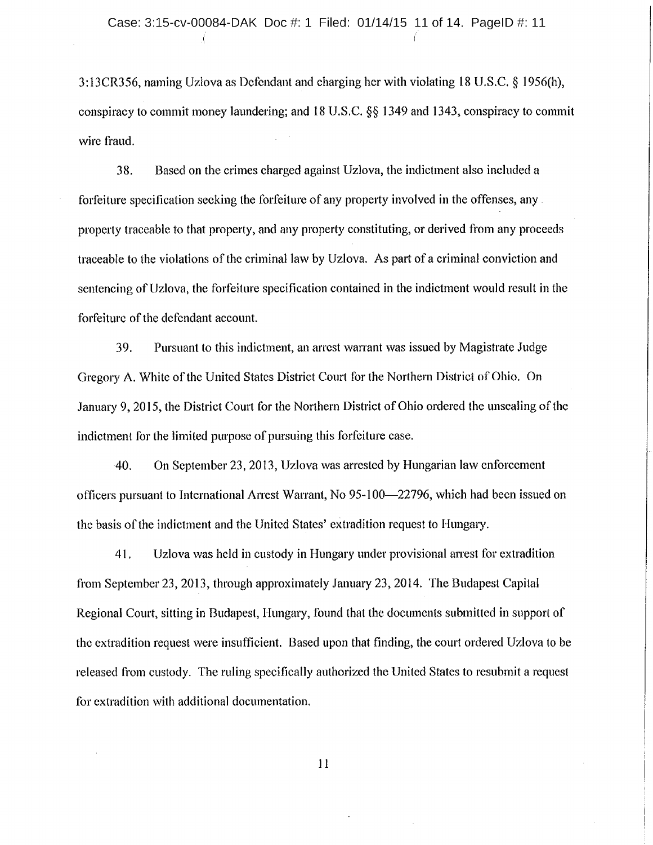$3:13CR356$ , naming Uzlova as Defendant and charging her with violating 18 U.S.C. § 1956(h), conspiracy to commit money laundering; and  $18 \text{ U.S.C.}$  §§ 1349 and 1343, conspiracy to commit wire fraud.

38. Based on the crimes charged against Uzlova, the indictment also included <sup>a</sup> forfeiture specification seeking the forfeiture of any property involved in the offenses, any property traceable to that property, and any property constituting, or derived from any proceeds traceable to the violations of the criminal law by Uzlova. As part of <sup>a</sup> criminal conviction and sentencing of Uzlova, the forfeiture specification contained in the indictment would result in the forfeiture of the defendant account.

39. Pursuant to this indictment, an arrest warrant was issued by Magistrate Judge Gregory A. White of the United States District Court for the Northern District of Ohio. On January 9, 2015, the District Court for the Northern District of Ohio ordered the unsealing ofthe indictment for the limited purpose of pursuing this forfeiture case.

-40. On September 23, 2013, Uzlova was arrested by Hungarian law enforcement officers pursuant to International Arrest Warrant, No 95-100—22796, which had been issued on the basis of the indictment and the United States' extradition request to Hungary.

41. Uzlova was held in custody in Hungary under provisional arrest for extradition from September 23, 2013, through approximately January 23, 2014. The Budapest Capital Regional Court, sitting in Budapest, Hungary, found that the documents submitted in support of the extradition request were insufficient. Based upon that finding, the court ordered Uzlova to be released from custody. The ruling specifically authorized the United States to resubmit <sup>a</sup> request for extradition with additional documentation.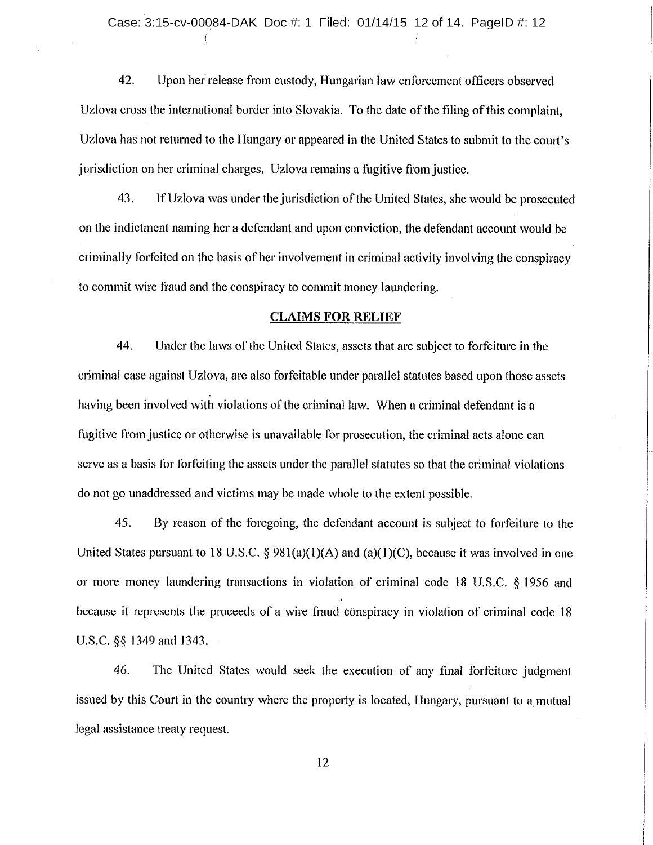42. Upon her release from custody, Hungarian law enforcement officers observed Uzlova cross the international border into Slovakia. To the date of the filing of this complaint, Uzlova has not returned to the Hungary or appeared in the United States to submit to the court's jurisdiction on her criminal charges. Uzlova remains <sup>a</sup> fugitive from justice.

43. If Uzlova was under the jurisdiction of the United States, she would be prosecuted on the indictment naming her <sup>a</sup> defendant and upon conviction, the defendant account would be criminally forfeited on the basis of her involvement in criminal activity involving the conspiracy to commit wire ftaud and the conspiracy to commit money laundering.

## CLAIMS FOR RELIEF

44. Under the laws of the United States, assets that are subject to forfeiture in the criminal case against Uzlova, are also forfeitable under parallel statutes based upon those assets having been involved with violations of the criminal law. When <sup>a</sup> criminal defendant is <sup>a</sup> fugitive from justice or otherwise is unavailable for prosecution, the criminal acts alone can serve as <sup>a</sup> basis for forfeiting the assets under the parallel statutes so that the criminal violations do not go unaddressed and victims may be made whole to the extent possible.

45. By reason of the foregoing, the defendant account is subject to forfeiture to the United States pursuant to 18 U.S.C.  $\S 981(a)(1)(A)$  and  $(a)(1)(C)$ , because it was involved in one or more money laundering transactions in violation of criminal code 18 U.S.C. § 1956 and because it represents the proceeds of <sup>a</sup> wire fraud conspiracy in violation of criminal code <sup>18</sup> U.S.C. §§ 1349 and 1343.

46. The United States would seek the execution of any final forfeiture judgment issued by this Court in the country where the property is located, Hungary, pursuant to a mutual legal assistance treaty request.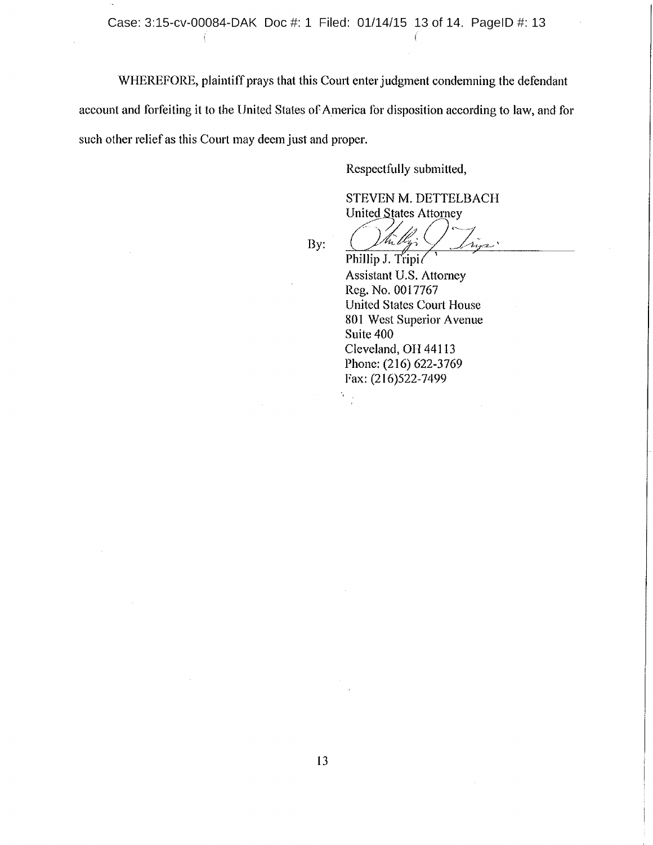WHEREFORE, plaintiff prays that this Court enter judgment condemning the defendant

account and forfeiting it to the United States of America for disposition according to law, and for such other relief as this Court may deem just and proper.

Respectfully submitted,

STEVEN M. DETTELBACH United States Attorney

By:

Phillip J. Tripi

Assistant U.S. Attorney Reg. No. 0017767 United States Court House 801 West Superior Avenue Suite 400 Cleveland, OH 44113 Phone: (216) 622-3769 Fax: (216)522-7499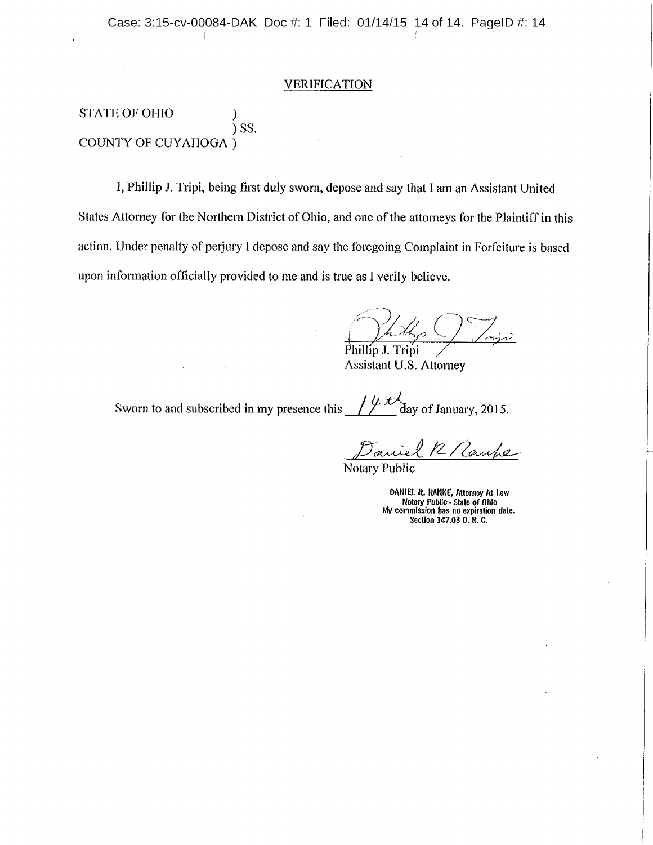#### **VERIFICATION**

STATE OF OHIO  $\mathcal{Y}$ SS. COUNTY OF CUYAHOGA

I, Phillip J. Tripi, being first duly sworn, depose and say that <sup>1</sup> am an Assistant United States Attorney for the Northern District of Ohio, and one of the attorneys for the Plaintiff in this action. Under penalty of perjury I depose and say the foregoing Complaint in Forfeiture is based upon information officially provided to me and is true as I verily believe.

)<br>11., Phillip J. Tripi

Assistant U.S. Attorney

day of January, 2015. Sworn to and subscribed in my presence this

2/Caupe

Notary Public

DANIEL R. RANKE, Attorney At Law Notary Public -State of Ohio My commission has no expiration date. Section 147.03 0. R. C.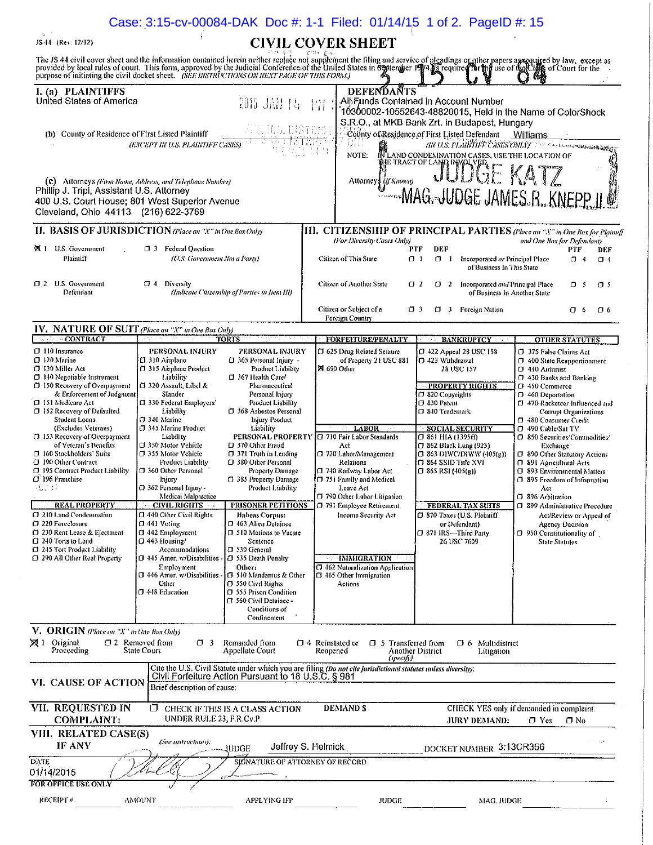|                                                                                                                                                                                                                                                                                                                                                                                                                                                                                                                                                                                                                                                   |                                                                                                                                                                                                                                                                                                                                                                                                                                                                                                                                                                                                                                          |                                                                                                                                                                                                                                                                                                                                                                                                                                                                                                                                                                                                                                                                        |                                                                                                                                                                                                                                                                                                                                                                                                                                                    | Case: 3:15-cv-00084-DAK Doc #: 1-1 Filed: 01/14/15 1 of 2. PageID #: 15                                                                                                                                                                                                                                                                                                                                                           |                                                                                                                                                                                                                                                                                                                                                                                                                                                                                                                                                                                                               |  |
|---------------------------------------------------------------------------------------------------------------------------------------------------------------------------------------------------------------------------------------------------------------------------------------------------------------------------------------------------------------------------------------------------------------------------------------------------------------------------------------------------------------------------------------------------------------------------------------------------------------------------------------------------|------------------------------------------------------------------------------------------------------------------------------------------------------------------------------------------------------------------------------------------------------------------------------------------------------------------------------------------------------------------------------------------------------------------------------------------------------------------------------------------------------------------------------------------------------------------------------------------------------------------------------------------|------------------------------------------------------------------------------------------------------------------------------------------------------------------------------------------------------------------------------------------------------------------------------------------------------------------------------------------------------------------------------------------------------------------------------------------------------------------------------------------------------------------------------------------------------------------------------------------------------------------------------------------------------------------------|----------------------------------------------------------------------------------------------------------------------------------------------------------------------------------------------------------------------------------------------------------------------------------------------------------------------------------------------------------------------------------------------------------------------------------------------------|-----------------------------------------------------------------------------------------------------------------------------------------------------------------------------------------------------------------------------------------------------------------------------------------------------------------------------------------------------------------------------------------------------------------------------------|---------------------------------------------------------------------------------------------------------------------------------------------------------------------------------------------------------------------------------------------------------------------------------------------------------------------------------------------------------------------------------------------------------------------------------------------------------------------------------------------------------------------------------------------------------------------------------------------------------------|--|
| <b>CIVIL COVER SHEET</b><br>JS 44 (Rev. 12/12)                                                                                                                                                                                                                                                                                                                                                                                                                                                                                                                                                                                                    |                                                                                                                                                                                                                                                                                                                                                                                                                                                                                                                                                                                                                                          |                                                                                                                                                                                                                                                                                                                                                                                                                                                                                                                                                                                                                                                                        |                                                                                                                                                                                                                                                                                                                                                                                                                                                    |                                                                                                                                                                                                                                                                                                                                                                                                                                   |                                                                                                                                                                                                                                                                                                                                                                                                                                                                                                                                                                                                               |  |
| purpose of initiating the civil docket sheet. (SEE INSTRUCTIONS ON NEXT PAGE OF THIS FORM.)                                                                                                                                                                                                                                                                                                                                                                                                                                                                                                                                                       |                                                                                                                                                                                                                                                                                                                                                                                                                                                                                                                                                                                                                                          |                                                                                                                                                                                                                                                                                                                                                                                                                                                                                                                                                                                                                                                                        |                                                                                                                                                                                                                                                                                                                                                                                                                                                    | The JS 44 civil cover sheet and the information contained herein neither replace not supplement the filing and service of pleadings or other papers assequired by law, except as provided by local rules of court. This form,                                                                                                                                                                                                     |                                                                                                                                                                                                                                                                                                                                                                                                                                                                                                                                                                                                               |  |
| I. (a) PLAINTIFFS<br>United States of America                                                                                                                                                                                                                                                                                                                                                                                                                                                                                                                                                                                                     |                                                                                                                                                                                                                                                                                                                                                                                                                                                                                                                                                                                                                                          | 2015 JAN 14                                                                                                                                                                                                                                                                                                                                                                                                                                                                                                                                                                                                                                                            | <b>DEFENDANTS</b><br>閉                                                                                                                                                                                                                                                                                                                                                                                                                             | All Funds Contained in Account Number<br>10300002-10552643-48820015, Held in the Name of ColorShock<br>S.R.O., at MKB Bank Zrt. in Budapest, Hungary                                                                                                                                                                                                                                                                              |                                                                                                                                                                                                                                                                                                                                                                                                                                                                                                                                                                                                               |  |
| (b) County of Residence of First Listed Plaintiff                                                                                                                                                                                                                                                                                                                                                                                                                                                                                                                                                                                                 | (EXCEPT IN U.S. PLAINTIFF CASES)                                                                                                                                                                                                                                                                                                                                                                                                                                                                                                                                                                                                         | saas dibi BRITRES<br>SB.                                                                                                                                                                                                                                                                                                                                                                                                                                                                                                                                                                                                                                               | um<br>NOTE:                                                                                                                                                                                                                                                                                                                                                                                                                                        | County of Residence of First Listed Defendant<br><b>INLAND CONDEMNATION CASES, USE THE LOCATION OF</b><br>HETRACTOFLANDINGOVER KATZ                                                                                                                                                                                                                                                                                               | Williams<br>(IN U.S. PLAINTIFF CASES ONLY) And the communication again                                                                                                                                                                                                                                                                                                                                                                                                                                                                                                                                        |  |
| (C) Attorneys (Firm Name, Address, and Telephone Number)<br>Phillip J. Tripi, Assistant U.S. Attorney<br>400 U.S. Court House; 801 West Superior Avenue<br>Cleveland, Ohio 44113 (216) 622-3769                                                                                                                                                                                                                                                                                                                                                                                                                                                   |                                                                                                                                                                                                                                                                                                                                                                                                                                                                                                                                                                                                                                          |                                                                                                                                                                                                                                                                                                                                                                                                                                                                                                                                                                                                                                                                        | Attorneys (If Known)                                                                                                                                                                                                                                                                                                                                                                                                                               |                                                                                                                                                                                                                                                                                                                                                                                                                                   | WWW.MAG.-JUDGE JAMES.R. KNEPP.JL@                                                                                                                                                                                                                                                                                                                                                                                                                                                                                                                                                                             |  |
| II. BASIS OF JURISDICTION (Place an "X" in One Box Only)                                                                                                                                                                                                                                                                                                                                                                                                                                                                                                                                                                                          |                                                                                                                                                                                                                                                                                                                                                                                                                                                                                                                                                                                                                                          |                                                                                                                                                                                                                                                                                                                                                                                                                                                                                                                                                                                                                                                                        |                                                                                                                                                                                                                                                                                                                                                                                                                                                    |                                                                                                                                                                                                                                                                                                                                                                                                                                   | III. CITIZENSHIP OF PRINCIPAL PARTIES (Place an "X" in One Box for Plaintiff                                                                                                                                                                                                                                                                                                                                                                                                                                                                                                                                  |  |
| 区 1 U.S. Government<br>Plaintiff                                                                                                                                                                                                                                                                                                                                                                                                                                                                                                                                                                                                                  | 13 Federal Question<br>(U.S. Government Not a Party)                                                                                                                                                                                                                                                                                                                                                                                                                                                                                                                                                                                     |                                                                                                                                                                                                                                                                                                                                                                                                                                                                                                                                                                                                                                                                        | (For Diversity Cases Only)<br>Citizen of This State                                                                                                                                                                                                                                                                                                                                                                                                | <b>DEF</b><br>PTF<br>ו ם<br>$\Box$ $\Box$<br>Incorporated or Principal Place<br>of Business In This State                                                                                                                                                                                                                                                                                                                         | and One Box for Defendant)<br>PTF<br>DEF<br>$\sigma$ 4<br>$\Box$ 4                                                                                                                                                                                                                                                                                                                                                                                                                                                                                                                                            |  |
| 1 2 U.S. Government<br>Defendant                                                                                                                                                                                                                                                                                                                                                                                                                                                                                                                                                                                                                  | $\Box$ 4 Diversity                                                                                                                                                                                                                                                                                                                                                                                                                                                                                                                                                                                                                       | (Indicate Citizenship of Parties in Item III)                                                                                                                                                                                                                                                                                                                                                                                                                                                                                                                                                                                                                          | Citizen of Another State                                                                                                                                                                                                                                                                                                                                                                                                                           | $\Box$ 2<br><b>3</b> 2 Incorporated and Principal Place<br>of Business In Another State                                                                                                                                                                                                                                                                                                                                           | D <sub>5</sub><br>O 5                                                                                                                                                                                                                                                                                                                                                                                                                                                                                                                                                                                         |  |
|                                                                                                                                                                                                                                                                                                                                                                                                                                                                                                                                                                                                                                                   |                                                                                                                                                                                                                                                                                                                                                                                                                                                                                                                                                                                                                                          |                                                                                                                                                                                                                                                                                                                                                                                                                                                                                                                                                                                                                                                                        | Citizen or Subject of a<br>Foreign Country                                                                                                                                                                                                                                                                                                                                                                                                         | O 3<br>$\Box$ 3 Foreign Nation                                                                                                                                                                                                                                                                                                                                                                                                    | O 6<br>O 6                                                                                                                                                                                                                                                                                                                                                                                                                                                                                                                                                                                                    |  |
| IV. NATURE OF SUIT (Place an "X" in One Box Only)<br>CONTRACT                                                                                                                                                                                                                                                                                                                                                                                                                                                                                                                                                                                     |                                                                                                                                                                                                                                                                                                                                                                                                                                                                                                                                                                                                                                          | TORTS                                                                                                                                                                                                                                                                                                                                                                                                                                                                                                                                                                                                                                                                  | <b>FORFEITURE/PENALTY</b>                                                                                                                                                                                                                                                                                                                                                                                                                          | <b>BANKRUPTCY</b>                                                                                                                                                                                                                                                                                                                                                                                                                 | <b>OTHER STATUTES</b>                                                                                                                                                                                                                                                                                                                                                                                                                                                                                                                                                                                         |  |
| $\Box$ 110 Insurance<br><b>U</b> 120 Marine<br>□ 130 Miller Act<br>140 Negotiable Instrument<br>$\Box$ 150 Recovery of Overpayment<br>& Enforcement of Judgment<br>1 151 Medicare Act<br>$\Box$ 152 Recovery of Defaulted<br>Student Loans<br>(Excludes Veterans)<br><b>C</b> 153 Recovery of Overpayment<br>of Veteran's Benefits<br>□ 160 Stockholders' Suits<br>190 Other Contract<br>1 195 Contract Product Liability<br>□ 196 Franchise<br>S. O<br><b>REAL PROPERTY</b><br>1210 Land Condemnation<br>□ 220 Foreclosure<br>□ 230 Rent Lease & Ejectment<br>240 Torts to Land<br>1 245 Tort Product Liability<br>1 290 All Other Real Property | PERSONAL INJURY<br>$\Box$ 310 Airplane<br>日 315 Airplane Product<br>Liability<br>□ 320 Assault, Libel &<br>Slander<br>□ 330 Federal Employers'<br>Liability<br>f J 340 Marine<br><b>17 345 Marine Product</b><br>Liability<br>□ 350 Motor Vehicle<br>□ 355 Motor Vehicle<br>Product Liability<br>1 360 Other Personal<br>lnjury<br>O 362 Personal Injury -<br>Medical Malpractice<br><b>CIVIL RIGHTS</b><br>□ 440 Other Civil Rights<br>$\Box$ 441 Voting<br><b>El 442 Employment</b><br>$\Box$ 443 Housing/<br>Accommodations<br>□ 445 Amer. w/Disabilities -<br>Employment<br>0 446 Amer. w/Disabilities -<br>Other<br>C 448 Education | PERSONAL INJURY<br>1365 Personal Injury -<br>Product Liability<br>□ 367 Health Care/<br>Pharmaceutical<br>Personal Injury<br>Product Liability<br>□ 368 Asbestos Personal<br>Injury Product<br>Liability<br>□ 370 Other Fraud<br>$\Box$ 371 Truth in Lending<br>□ 380 Other Personal<br>Property Damage<br>CJ 385 Property Damage<br>Product Liability<br><b>PRISONER PETITIONS</b><br>Habeas Corpus:<br>□ 463 Alien Detainee<br>□ 510 Motions to Vacate<br>Sentence<br>□ 530 General<br>□ 535 Death Penalty<br>Other:<br><b>13 540 Mandamus &amp; Other</b><br>□ 550 Civil Rights<br>1 555 Prison Condition<br>口 560 Civil Detainee -<br>Conditions of<br>Confinement | 口 625 Drug Related Seizure<br>of Property 21 USC 881<br>21 690 Other<br>LABOR<br>PERSONAL PROPERTY [C] 710 Fair Labor Standards<br>Act<br>□ 720 Labor/Management<br>Relations<br>13 740 Railway Labor Act<br>Ⅰ□ 751 Family and Medical<br>Leave Act<br><b>El 790 Other Labor Litigation</b><br>[] 791 Employee Retirement<br>Income Security Act<br><b>IMMIGRATION</b><br>CJ 462 Naturalization Application<br>13 465 Other Immigration<br>Actions | □ 422 Appeal 28 USC 158<br>1 423 Withdrawal<br>28 USC 157<br><b>PROPERTY RIGHTS</b><br>□ 820 Copyrights<br>□ 830 Patent<br>13 840 Trademark<br><b>SOCIAL SECURITY</b><br>口 861 HIA (1395ff)<br>□ 862 Black Lung (923)<br>$\Box$ 863 DIWC/DIWW (405(g))<br>$\Box$ 864 SSID Title XVI<br>$\Box$ 865 RSI (405(g))<br><b>FEDERAL TAX SUITS</b><br>1370 Taxes (U.S. Plaintiff<br>or Defendant)<br>□ 871 IRS-Third Party<br>26 USC 7609 | 1375 False Claims Act<br>□ 400 State Reapportionment<br>$\Box$ 410 Antitrust<br>1 430 Banks and Banking<br>□ 450 Commerce<br>CJ 460 Deportation<br>[7] 470 Racketeer Influenced and<br>Corrupt Organizations<br>CJ 480 Consumer Credit<br>C 490 Cable/Sat TV<br>C 850 Securities/Commodities/<br>Exchange<br>□ 890 Other Statutory Actions<br>□ 891 Agricultural Acts<br>1 893 Environmental Matters<br>1 895 Freedom of Information<br>Act<br>$\Box$ 896 Arbitration<br>□ 899 Administrative Procedure<br>Act/Review or Appeal of<br>Agency Decision<br>CJ 950 Constitutionality of<br><b>State Statutes</b> |  |
| V. ORIGIN (Place an "X" in One Box Only)<br>$\times$ 1 Original<br>$\Box$ 2 Removed from<br>$\Box$ 3<br>Remanded from<br><b>D</b> 4 Reinstated or<br>$\Box$ 5 Transferred from<br><b>3</b> 6 Multidistrict<br>Proceeding<br>State Court<br>Appellate Court<br>Reopened<br>Another District<br>Litigation<br>(snectfy)<br>Cite the U.S. Civil Statute under which you are filing (Do not cite jurisdictional statutes unless diversity):<br>Civil Forfeiture Action Pursuant to 18 U.S.C. § 981<br>VI. CAUSE OF ACTION                                                                                                                             |                                                                                                                                                                                                                                                                                                                                                                                                                                                                                                                                                                                                                                          |                                                                                                                                                                                                                                                                                                                                                                                                                                                                                                                                                                                                                                                                        |                                                                                                                                                                                                                                                                                                                                                                                                                                                    |                                                                                                                                                                                                                                                                                                                                                                                                                                   |                                                                                                                                                                                                                                                                                                                                                                                                                                                                                                                                                                                                               |  |
| Brief description of cause:<br><b>VII. REQUESTED IN</b><br><b>DEMANDS</b><br>CHECK YES only if demanded in complaint:<br>ο.<br>CHECK IF THIS IS A CLASS ACTION<br>UNDER RULE 23, F.R.Cv.P.<br><b>COMPLAINT:</b><br>$\sigma$ Yes<br>$\Box$ No<br>JURY DEMAND:                                                                                                                                                                                                                                                                                                                                                                                      |                                                                                                                                                                                                                                                                                                                                                                                                                                                                                                                                                                                                                                          |                                                                                                                                                                                                                                                                                                                                                                                                                                                                                                                                                                                                                                                                        |                                                                                                                                                                                                                                                                                                                                                                                                                                                    |                                                                                                                                                                                                                                                                                                                                                                                                                                   |                                                                                                                                                                                                                                                                                                                                                                                                                                                                                                                                                                                                               |  |
| VIII. RELATED CASE(S)<br>(See instructions).<br>IF ANY<br>Jeffrey S. Helmick<br>3:13CR356<br>DOCKET NUMBER<br>IUDGE                                                                                                                                                                                                                                                                                                                                                                                                                                                                                                                               |                                                                                                                                                                                                                                                                                                                                                                                                                                                                                                                                                                                                                                          |                                                                                                                                                                                                                                                                                                                                                                                                                                                                                                                                                                                                                                                                        |                                                                                                                                                                                                                                                                                                                                                                                                                                                    |                                                                                                                                                                                                                                                                                                                                                                                                                                   |                                                                                                                                                                                                                                                                                                                                                                                                                                                                                                                                                                                                               |  |
| SIGNATURE OF ATTORNEY OF RECORD<br>DATE<br>01/14/2015<br>FOR OFFICE USE ONLY                                                                                                                                                                                                                                                                                                                                                                                                                                                                                                                                                                      |                                                                                                                                                                                                                                                                                                                                                                                                                                                                                                                                                                                                                                          |                                                                                                                                                                                                                                                                                                                                                                                                                                                                                                                                                                                                                                                                        |                                                                                                                                                                                                                                                                                                                                                                                                                                                    |                                                                                                                                                                                                                                                                                                                                                                                                                                   |                                                                                                                                                                                                                                                                                                                                                                                                                                                                                                                                                                                                               |  |
| RECEIPT#                                                                                                                                                                                                                                                                                                                                                                                                                                                                                                                                                                                                                                          | <b>AMOUNT</b>                                                                                                                                                                                                                                                                                                                                                                                                                                                                                                                                                                                                                            | <b>APPLYING IFP</b>                                                                                                                                                                                                                                                                                                                                                                                                                                                                                                                                                                                                                                                    | <b>JUDGE</b>                                                                                                                                                                                                                                                                                                                                                                                                                                       | MAG. JUDGE                                                                                                                                                                                                                                                                                                                                                                                                                        |                                                                                                                                                                                                                                                                                                                                                                                                                                                                                                                                                                                                               |  |

 $\sim$ 

ł,